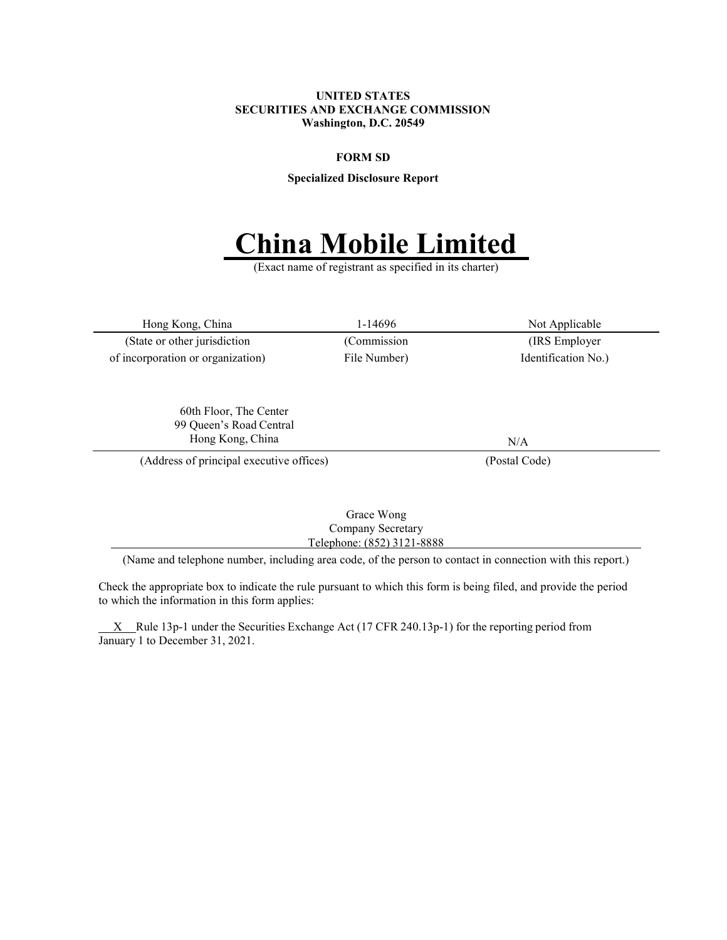#### UNITED STATES SECURITIES AND EXCHANGE COMMISSION Washington, D.C. 20549

#### FORM SD

Specialized Disclosure Report

# 'hina Mobile Limited

(Exact name of registrant as specified in its charter)

Hong Kong, China 1-14696 Not Applicable (State or other jurisdiction (Commission (IRS Employer of incorporation or organization) File Number) Identification No.)

60th Floor, The Center 99 Queen's Road Central Hong Kong, China N/A

(Address of principal executive offices) (Postal Code)

Grace Wong Company Secretary Telephone: (852) 3121-8888

(Name and telephone number, including area code, of the person to contact in connection with this report.)

Check the appropriate box to indicate the rule pursuant to which this form is being filed, and provide the period to which the information in this form applies:

 $X$  Rule 13p-1 under the Securities Exchange Act (17 CFR 240.13p-1) for the reporting period from January 1 to December 31, 2021.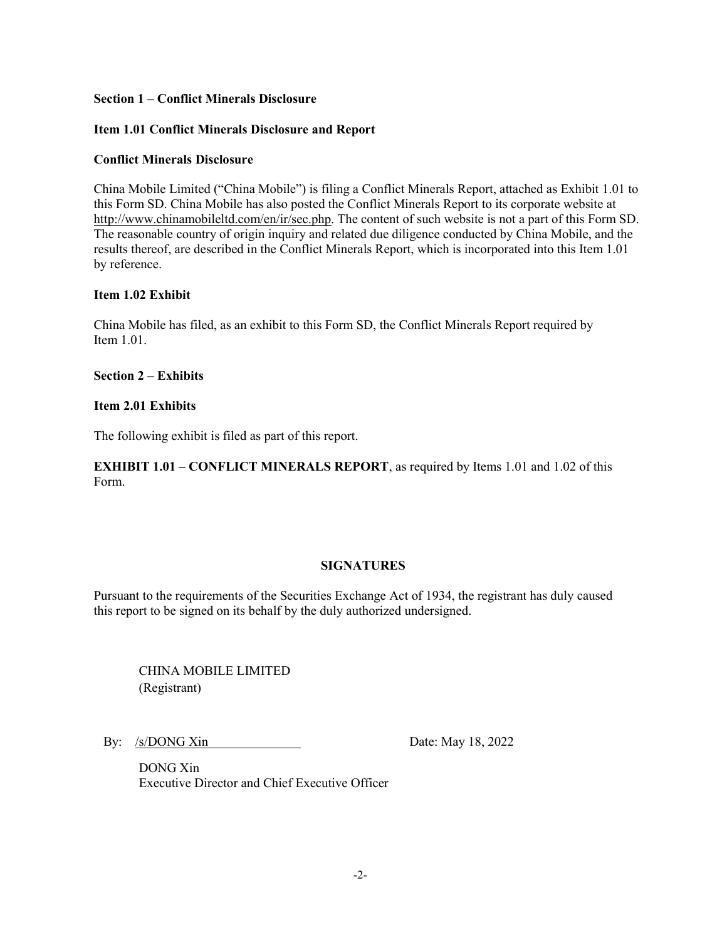## Section 1 – Conflict Minerals Disclosure

## Item 1.01 Conflict Minerals Disclosure and Report

## Conflict Minerals Disclosure

China Mobile Limited ("China Mobile") is filing a Conflict Minerals Report, attached as Exhibit 1.01 to this Form SD. China Mobile has also posted the Conflict Minerals Report to its corporate website at http://www.chinamobileltd.com/en/ir/sec.php. The content of such website is not a part of this Form SD. The reasonable country of origin inquiry and related due diligence conducted by China Mobile, and the results thereof, are described in the Conflict Minerals Report, which is incorporated into this Item 1.01 by reference.

## Item 1.02 Exhibit

China Mobile has filed, as an exhibit to this Form SD, the Conflict Minerals Report required by Item 1.01.

Section 2 – Exhibits

## Item 2.01 Exhibits

The following exhibit is filed as part of this report.

EXHIBIT 1.01 – CONFLICT MINERALS REPORT, as required by Items 1.01 and 1.02 of this Form.

# **SIGNATURES**

Pursuant to the requirements of the Securities Exchange Act of 1934, the registrant has duly caused this report to be signed on its behalf by the duly authorized undersigned.

CHINA MOBILE LIMITED (Registrant)

By: /s/DONG Xin Date: May 18, 2022

DONG Xin Executive Director and Chief Executive Officer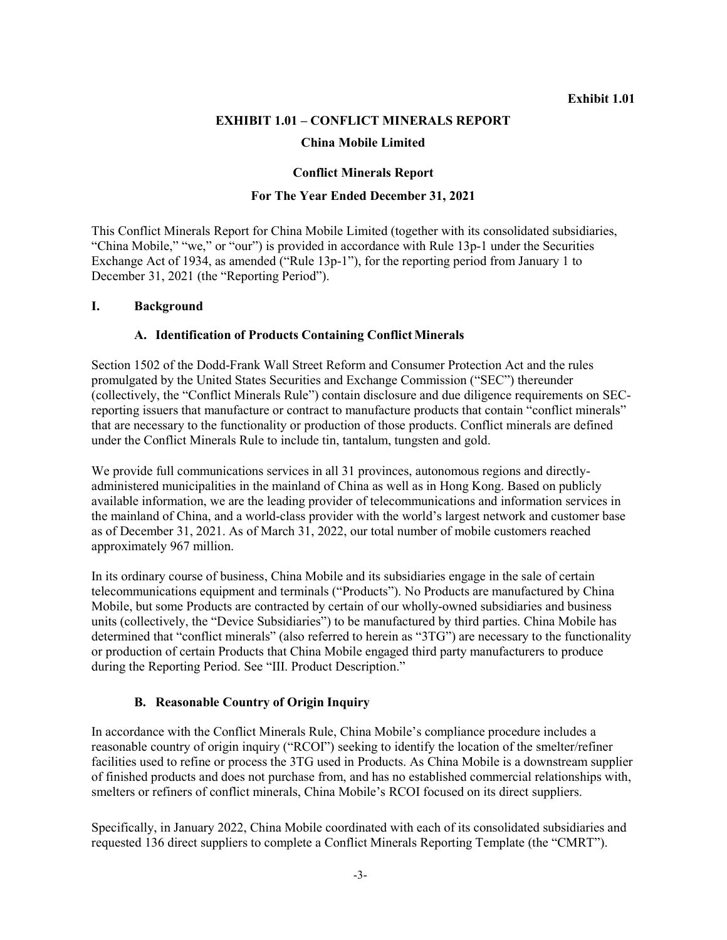## EXHIBIT 1.01 – CONFLICT MINERALS REPORT

## China Mobile Limited

## Conflict Minerals Report

## For The Year Ended December 31, 2021

This Conflict Minerals Report for China Mobile Limited (together with its consolidated subsidiaries, "China Mobile," "we," or "our") is provided in accordance with Rule 13p-1 under the Securities Exchange Act of 1934, as amended ("Rule 13p-1"), for the reporting period from January 1 to December 31, 2021 (the "Reporting Period").

#### I. Background

#### A. Identification of Products Containing Conflict Minerals

Section 1502 of the Dodd-Frank Wall Street Reform and Consumer Protection Act and the rules promulgated by the United States Securities and Exchange Commission ("SEC") thereunder (collectively, the "Conflict Minerals Rule") contain disclosure and due diligence requirements on SECreporting issuers that manufacture or contract to manufacture products that contain "conflict minerals" that are necessary to the functionality or production of those products. Conflict minerals are defined under the Conflict Minerals Rule to include tin, tantalum, tungsten and gold.

We provide full communications services in all 31 provinces, autonomous regions and directlyadministered municipalities in the mainland of China as well as in Hong Kong. Based on publicly available information, we are the leading provider of telecommunications and information services in the mainland of China, and a world-class provider with the world's largest network and customer base as of December 31, 2021. As of March 31, 2022, our total number of mobile customers reached approximately 967 million.

In its ordinary course of business, China Mobile and its subsidiaries engage in the sale of certain telecommunications equipment and terminals ("Products"). No Products are manufactured by China Mobile, but some Products are contracted by certain of our wholly-owned subsidiaries and business units (collectively, the "Device Subsidiaries") to be manufactured by third parties. China Mobile has determined that "conflict minerals" (also referred to herein as "3TG") are necessary to the functionality or production of certain Products that China Mobile engaged third party manufacturers to produce during the Reporting Period. See "III. Product Description."

## B. Reasonable Country of Origin Inquiry

In accordance with the Conflict Minerals Rule, China Mobile's compliance procedure includes a reasonable country of origin inquiry ("RCOI") seeking to identify the location of the smelter/refiner facilities used to refine or process the 3TG used in Products. As China Mobile is a downstream supplier of finished products and does not purchase from, and has no established commercial relationships with, smelters or refiners of conflict minerals, China Mobile's RCOI focused on its direct suppliers.

Specifically, in January 2022, China Mobile coordinated with each of its consolidated subsidiaries and requested 136 direct suppliers to complete a Conflict Minerals Reporting Template (the "CMRT").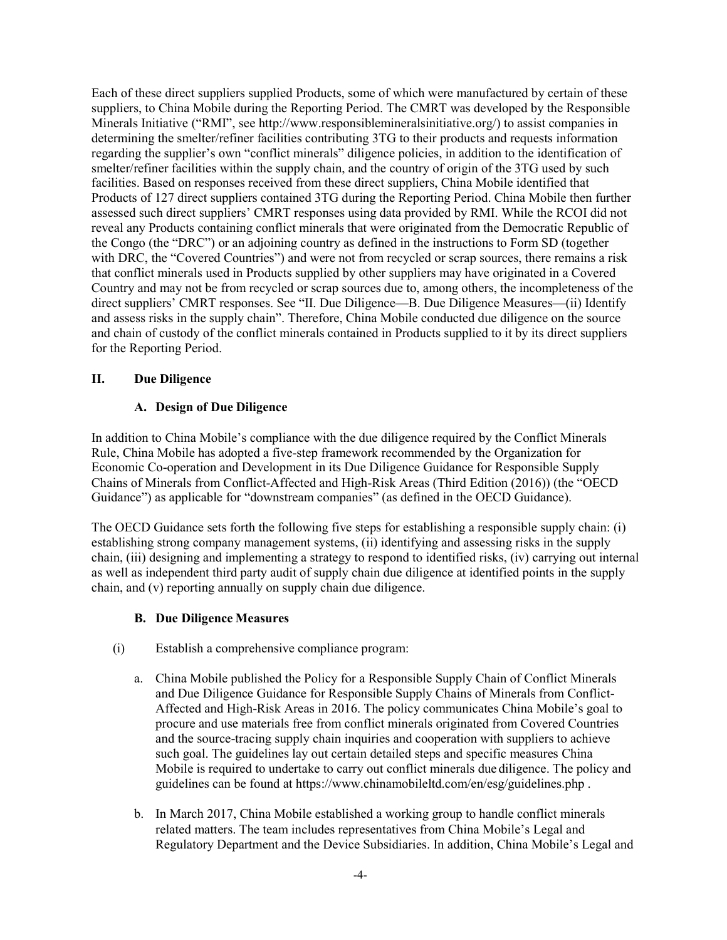Each of these direct suppliers supplied Products, some of which were manufactured by certain of these suppliers, to China Mobile during the Reporting Period. The CMRT was developed by the Responsible Minerals Initiative ("RMI", see http://www.responsiblemineralsinitiative.org/) to assist companies in determining the smelter/refiner facilities contributing 3TG to their products and requests information regarding the supplier's own "conflict minerals" diligence policies, in addition to the identification of smelter/refiner facilities within the supply chain, and the country of origin of the 3TG used by such facilities. Based on responses received from these direct suppliers, China Mobile identified that Products of 127 direct suppliers contained 3TG during the Reporting Period. China Mobile then further assessed such direct suppliers' CMRT responses using data provided by RMI. While the RCOI did not reveal any Products containing conflict minerals that were originated from the Democratic Republic of the Congo (the "DRC") or an adjoining country as defined in the instructions to Form SD (together with DRC, the "Covered Countries") and were not from recycled or scrap sources, there remains a risk that conflict minerals used in Products supplied by other suppliers may have originated in a Covered Country and may not be from recycled or scrap sources due to, among others, the incompleteness of the direct suppliers' CMRT responses. See "II. Due Diligence—B. Due Diligence Measures—(ii) Identify and assess risks in the supply chain". Therefore, China Mobile conducted due diligence on the source and chain of custody of the conflict minerals contained in Products supplied to it by its direct suppliers for the Reporting Period.

## II. Due Diligence

## A. Design of Due Diligence

In addition to China Mobile's compliance with the due diligence required by the Conflict Minerals Rule, China Mobile has adopted a five-step framework recommended by the Organization for Economic Co-operation and Development in its Due Diligence Guidance for Responsible Supply Chains of Minerals from Conflict-Affected and High-Risk Areas (Third Edition (2016)) (the "OECD Guidance") as applicable for "downstream companies" (as defined in the OECD Guidance).

The OECD Guidance sets forth the following five steps for establishing a responsible supply chain: (i) establishing strong company management systems, (ii) identifying and assessing risks in the supply chain, (iii) designing and implementing a strategy to respond to identified risks, (iv) carrying out internal as well as independent third party audit of supply chain due diligence at identified points in the supply chain, and (v) reporting annually on supply chain due diligence.

# B. Due Diligence Measures

- (i) Establish a comprehensive compliance program:
	- a. China Mobile published the Policy for a Responsible Supply Chain of Conflict Minerals and Due Diligence Guidance for Responsible Supply Chains of Minerals from Conflict-Affected and High-Risk Areas in 2016. The policy communicates China Mobile's goal to procure and use materials free from conflict minerals originated from Covered Countries and the source-tracing supply chain inquiries and cooperation with suppliers to achieve such goal. The guidelines lay out certain detailed steps and specific measures China Mobile is required to undertake to carry out conflict minerals due diligence. The policy and guidelines can be found at https://www.chinamobileltd.com/en/esg/guidelines.php .
	- b. In March 2017, China Mobile established a working group to handle conflict minerals related matters. The team includes representatives from China Mobile's Legal and Regulatory Department and the Device Subsidiaries. In addition, China Mobile's Legal and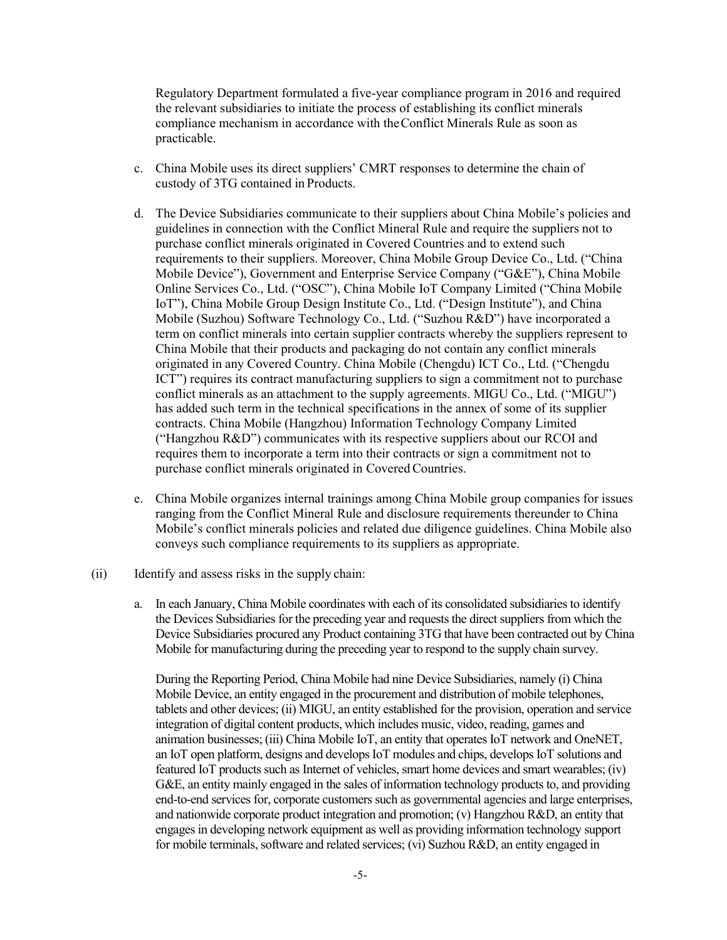Regulatory Department formulated a five-year compliance program in 2016 and required the relevant subsidiaries to initiate the process of establishing its conflict minerals compliance mechanism in accordance with the Conflict Minerals Rule as soon as practicable.

- c. China Mobile uses its direct suppliers' CMRT responses to determine the chain of custody of 3TG contained in Products.
- d. The Device Subsidiaries communicate to their suppliers about China Mobile's policies and guidelines in connection with the Conflict Mineral Rule and require the suppliers not to purchase conflict minerals originated in Covered Countries and to extend such requirements to their suppliers. Moreover, China Mobile Group Device Co., Ltd. ("China Mobile Device"), Government and Enterprise Service Company ("G&E"), China Mobile Online Services Co., Ltd. ("OSC"), China Mobile IoT Company Limited ("China Mobile IoT"), China Mobile Group Design Institute Co., Ltd. ("Design Institute"), and China Mobile (Suzhou) Software Technology Co., Ltd. ("Suzhou R&D") have incorporated a term on conflict minerals into certain supplier contracts whereby the suppliers represent to China Mobile that their products and packaging do not contain any conflict minerals originated in any Covered Country. China Mobile (Chengdu) ICT Co., Ltd. ("Chengdu ICT") requires its contract manufacturing suppliers to sign a commitment not to purchase conflict minerals as an attachment to the supply agreements. MIGU Co., Ltd. ("MIGU") has added such term in the technical specifications in the annex of some of its supplier contracts. China Mobile (Hangzhou) Information Technology Company Limited ("Hangzhou R&D") communicates with its respective suppliers about our RCOI and requires them to incorporate a term into their contracts or sign a commitment not to purchase conflict minerals originated in Covered Countries.
- e. China Mobile organizes internal trainings among China Mobile group companies for issues ranging from the Conflict Mineral Rule and disclosure requirements thereunder to China Mobile's conflict minerals policies and related due diligence guidelines. China Mobile also conveys such compliance requirements to its suppliers as appropriate.
- (ii) Identify and assess risks in the supply chain:
	- a. In each January, China Mobile coordinates with each of its consolidated subsidiaries to identify the Devices Subsidiaries for the preceding year and requests the direct suppliers from which the Device Subsidiaries procured any Product containing 3TG that have been contracted out by China Mobile for manufacturing during the preceding year to respond to the supply chain survey.

During the Reporting Period, China Mobile had nine Device Subsidiaries, namely (i) China Mobile Device, an entity engaged in the procurement and distribution of mobile telephones, tablets and other devices; (ii) MIGU, an entity established for the provision, operation and service integration of digital content products, which includes music, video, reading, games and animation businesses; (iii) China Mobile IoT, an entity that operates IoT network and OneNET, an IoT open platform, designs and develops IoT modules and chips, develops IoT solutions and featured IoT products such as Internet of vehicles, smart home devices and smart wearables; (iv) G&E, an entity mainly engaged in the sales of information technology products to, and providing end-to-end services for, corporate customers such as governmental agencies and large enterprises, and nationwide corporate product integration and promotion; (v) Hangzhou R&D, an entity that engages in developing network equipment as well as providing information technology support for mobile terminals, software and related services; (vi) Suzhou R&D, an entity engaged in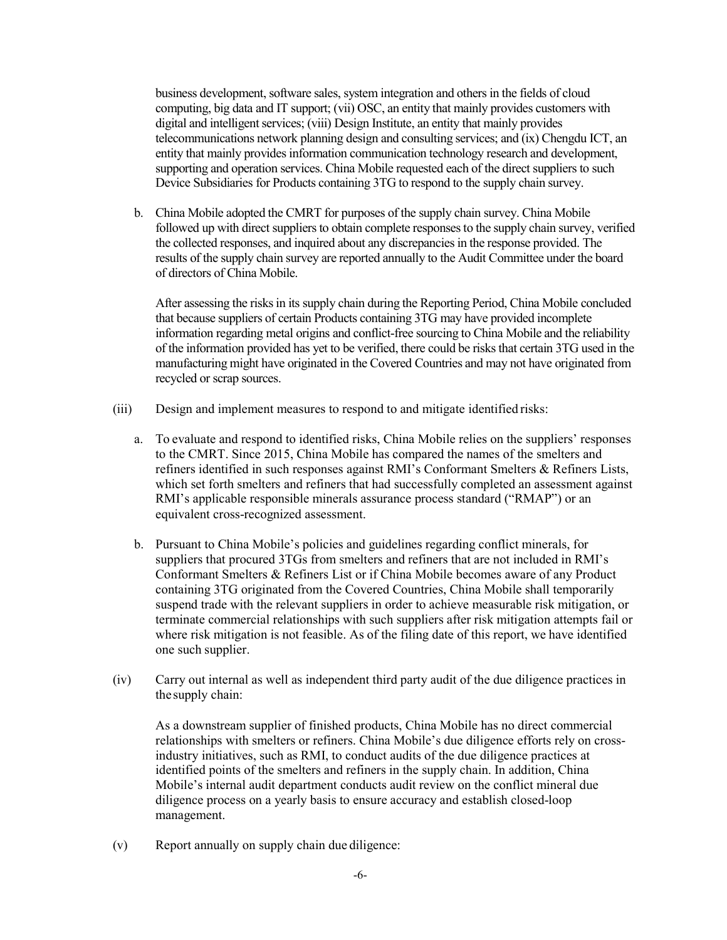business development, software sales, system integration and others in the fields of cloud computing, big data and IT support; (vii) OSC, an entity that mainly provides customers with digital and intelligent services; (viii) Design Institute, an entity that mainly provides telecommunications network planning design and consulting services; and (ix) Chengdu ICT, an entity that mainly provides information communication technology research and development, supporting and operation services. China Mobile requested each of the direct suppliers to such Device Subsidiaries for Products containing 3TG to respond to the supply chain survey.

b. China Mobile adopted the CMRT for purposes of the supply chain survey. China Mobile followed up with direct suppliers to obtain complete responses to the supply chain survey, verified the collected responses, and inquired about any discrepancies in the response provided. The results of the supply chain survey are reported annually to the Audit Committee under the board of directors of China Mobile.

After assessing the risks in its supply chain during the Reporting Period, China Mobile concluded that because suppliers of certain Products containing 3TG may have provided incomplete information regarding metal origins and conflict-free sourcing to China Mobile and the reliability of the information provided has yet to be verified, there could be risks that certain 3TG used in the manufacturing might have originated in the Covered Countries and may not have originated from recycled or scrap sources.

- (iii) Design and implement measures to respond to and mitigate identified risks:
	- a. To evaluate and respond to identified risks, China Mobile relies on the suppliers' responses to the CMRT. Since 2015, China Mobile has compared the names of the smelters and refiners identified in such responses against RMI's Conformant Smelters & Refiners Lists, which set forth smelters and refiners that had successfully completed an assessment against RMI's applicable responsible minerals assurance process standard ("RMAP") or an equivalent cross-recognized assessment.
	- b. Pursuant to China Mobile's policies and guidelines regarding conflict minerals, for suppliers that procured 3TGs from smelters and refiners that are not included in RMI's Conformant Smelters & Refiners List or if China Mobile becomes aware of any Product containing 3TG originated from the Covered Countries, China Mobile shall temporarily suspend trade with the relevant suppliers in order to achieve measurable risk mitigation, or terminate commercial relationships with such suppliers after risk mitigation attempts fail or where risk mitigation is not feasible. As of the filing date of this report, we have identified one such supplier.
- (iv) Carry out internal as well as independent third party audit of the due diligence practices in the supply chain:

As a downstream supplier of finished products, China Mobile has no direct commercial relationships with smelters or refiners. China Mobile's due diligence efforts rely on crossindustry initiatives, such as RMI, to conduct audits of the due diligence practices at identified points of the smelters and refiners in the supply chain. In addition, China Mobile's internal audit department conducts audit review on the conflict mineral due diligence process on a yearly basis to ensure accuracy and establish closed-loop management.

(v) Report annually on supply chain due diligence: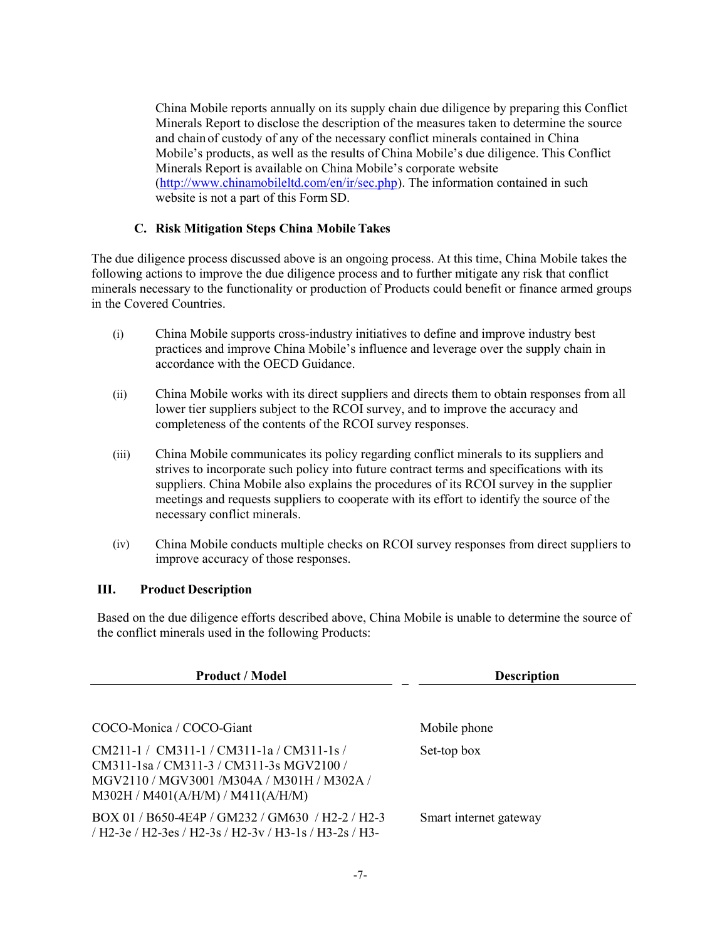China Mobile reports annually on its supply chain due diligence by preparing this Conflict Minerals Report to disclose the description of the measures taken to determine the source and chain of custody of any of the necessary conflict minerals contained in China Mobile's products, as well as the results of China Mobile's due diligence. This Conflict Minerals Report is available on China Mobile's corporate website (http://www.chinamobileltd.com/en/ir/sec.php). The information contained in such website is not a part of this Form SD.

## C. Risk Mitigation Steps China Mobile Takes

The due diligence process discussed above is an ongoing process. At this time, China Mobile takes the following actions to improve the due diligence process and to further mitigate any risk that conflict minerals necessary to the functionality or production of Products could benefit or finance armed groups in the Covered Countries.

- (i) China Mobile supports cross-industry initiatives to define and improve industry best practices and improve China Mobile's influence and leverage over the supply chain in accordance with the OECD Guidance.
- (ii) China Mobile works with its direct suppliers and directs them to obtain responses from all lower tier suppliers subject to the RCOI survey, and to improve the accuracy and completeness of the contents of the RCOI survey responses.
- (iii) China Mobile communicates its policy regarding conflict minerals to its suppliers and strives to incorporate such policy into future contract terms and specifications with its suppliers. China Mobile also explains the procedures of its RCOI survey in the supplier meetings and requests suppliers to cooperate with its effort to identify the source of the necessary conflict minerals.
- (iv) China Mobile conducts multiple checks on RCOI survey responses from direct suppliers to improve accuracy of those responses.

## III. Product Description

Based on the due diligence efforts described above, China Mobile is unable to determine the source of the conflict minerals used in the following Products:

| <b>Product / Model</b>                                                                                                                                                     | <b>Description</b>     |  |
|----------------------------------------------------------------------------------------------------------------------------------------------------------------------------|------------------------|--|
|                                                                                                                                                                            |                        |  |
| COCO-Monica / COCO-Giant                                                                                                                                                   | Mobile phone           |  |
| $CM211-1 / CM311-1 / CM311-1a / CM311-1s /$<br>CM311-1sa / CM311-3 / CM311-3s MGV2100 /<br>MGV2110 / MGV3001 /M304A / M301H / M302A /<br>M302H / M401(A/H/M) / M411(A/H/M) | Set-top box            |  |
| BOX 01/B650-4E4P/GM232/GM630/H2-2/H2-3<br>/ H2-3e / H2-3es / H2-3s / H2-3v / H3-1s / H3-2s / H3-                                                                           | Smart internet gateway |  |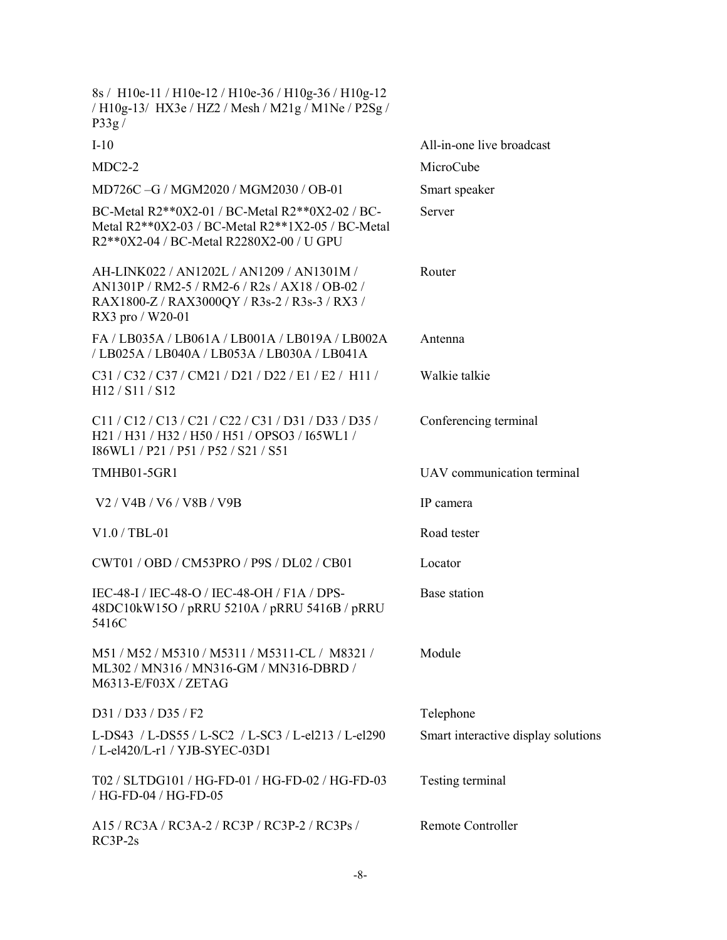| 8s / H10e-11 / H10e-12 / H10e-36 / H10g-36 / H10g-12<br>/ H10g-13/ HX3e / HZ2 / Mesh / M21g / M1Ne / P2Sg /<br>P33g/                                             |                                     |
|------------------------------------------------------------------------------------------------------------------------------------------------------------------|-------------------------------------|
| $I-10$                                                                                                                                                           | All-in-one live broadcast           |
| $MDC2-2$                                                                                                                                                         | MicroCube                           |
| MD726C-G / MGM2020 / MGM2030 / OB-01                                                                                                                             | Smart speaker                       |
| BC-Metal R2**0X2-01 / BC-Metal R2**0X2-02 / BC-<br>Metal R2**0X2-03 / BC-Metal R2**1X2-05 / BC-Metal<br>R2**0X2-04 / BC-Metal R2280X2-00 / U GPU                 | Server                              |
| AH-LINK022 / AN1202L / AN1209 / AN1301M /<br>AN1301P / RM2-5 / RM2-6 / R2s / AX18 / OB-02 /<br>RAX1800-Z / RAX3000QY / R3s-2 / R3s-3 / RX3 /<br>RX3 pro / W20-01 | Router                              |
| FA / LB035A / LB061A / LB001A / LB019A / LB002A<br>/LB025A / LB040A / LB053A / LB030A / LB041A                                                                   | Antenna                             |
| C31 / C32 / C37 / CM21 / D21 / D22 / E1 / E2 / H11 /<br>H <sub>12</sub> / S <sub>11</sub> / S <sub>12</sub>                                                      | Walkie talkie                       |
| $Cl1 / Cl2 / Cl3 / Cl1 / Cl2 / Cl2 / Cl1 / D31 / D33 / D35 /$<br>H21 / H31 / H32 / H50 / H51 / OPSO3 / I65WL1 /<br>I86WL1/P21/P51/P52/S21/S51                    | Conferencing terminal               |
| <b>TMHB01-5GR1</b>                                                                                                                                               | UAV communication terminal          |
| V <sub>2</sub> / V <sub>4</sub> B / V <sub>6</sub> / V <sub>8</sub> B / V <sub>9B</sub>                                                                          | IP camera                           |
| $V1.0 / TBL-01$                                                                                                                                                  | Road tester                         |
| CWT01 / OBD / CM53PRO / P9S / DL02 / CB01                                                                                                                        | Locator                             |
| IEC-48-I / IEC-48-O / IEC-48-OH / F1A / DPS-<br>48DC10kW15O / pRRU 5210A / pRRU 5416B / pRRU<br>5416C                                                            | Base station                        |
| M51 / M52 / M5310 / M5311 / M5311-CL / M8321 /<br>ML302 / MN316 / MN316-GM / MN316-DBRD /<br>M6313-E/F03X / ZETAG                                                | Module                              |
| D31 / D33 / D35 / F2                                                                                                                                             | Telephone                           |
| L-DS43 / L-DS55 / L-SC2 / L-SC3 / L-el213 / L-el290<br>/ L-el420/L-r1 / YJB-SYEC-03D1                                                                            | Smart interactive display solutions |
| T02 / SLTDG101 / HG-FD-01 / HG-FD-02 / HG-FD-03<br>/ HG-FD-04 / HG-FD-05                                                                                         | Testing terminal                    |
| A15 / RC3A / RC3A-2 / RC3P / RC3P-2 / RC3Ps /<br>$RC3P-2s$                                                                                                       | <b>Remote Controller</b>            |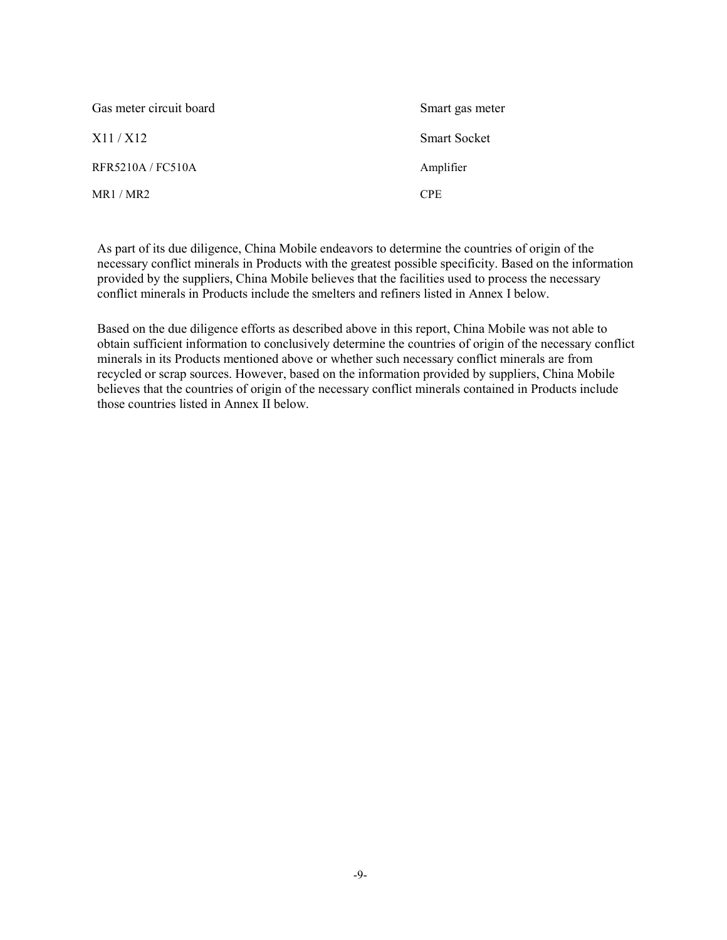| Gas meter circuit board | Smart gas meter     |
|-------------------------|---------------------|
| X11/X12                 | <b>Smart Socket</b> |
| RFR5210A/FC510A         | Amplifier           |
| MR1/MR2                 | <b>CPE</b>          |

As part of its due diligence, China Mobile endeavors to determine the countries of origin of the necessary conflict minerals in Products with the greatest possible specificity. Based on the information provided by the suppliers, China Mobile believes that the facilities used to process the necessary conflict minerals in Products include the smelters and refiners listed in Annex I below.

Based on the due diligence efforts as described above in this report, China Mobile was not able to obtain sufficient information to conclusively determine the countries of origin of the necessary conflict minerals in its Products mentioned above or whether such necessary conflict minerals are from recycled or scrap sources. However, based on the information provided by suppliers, China Mobile believes that the countries of origin of the necessary conflict minerals contained in Products include those countries listed in Annex II below.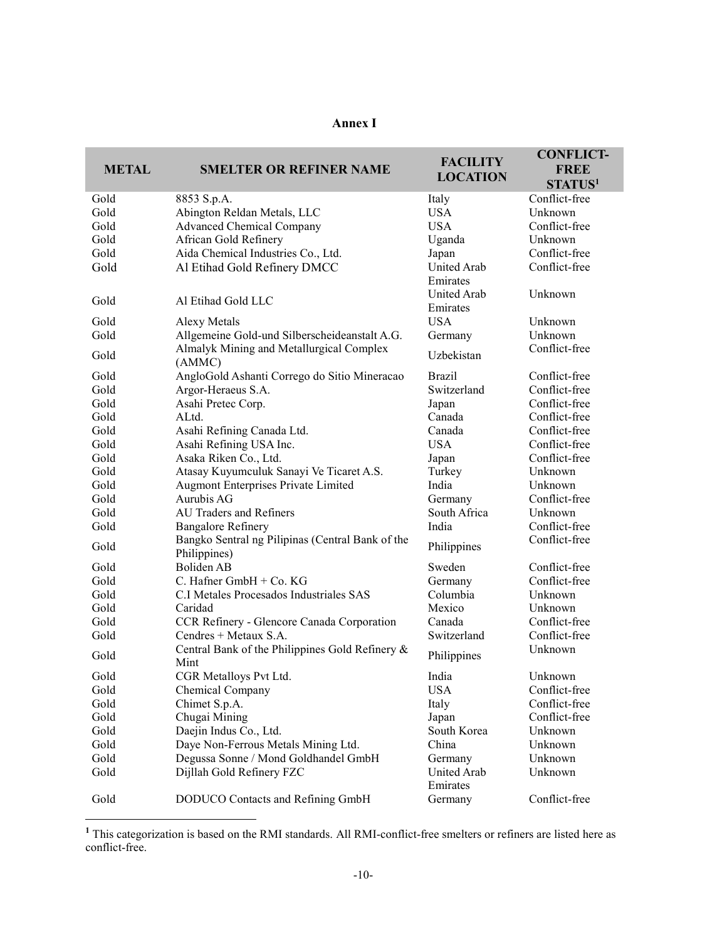| nn<br>ı<br>ı |  |
|--------------|--|
|--------------|--|

| <b>METAL</b> | <b>SMELTER OR REFINER NAME</b>                                   | <b>FACILITY</b><br><b>LOCATION</b> | <b>CONFLICT-</b><br><b>FREE</b><br>STATUS <sup>1</sup> |
|--------------|------------------------------------------------------------------|------------------------------------|--------------------------------------------------------|
| Gold         | 8853 S.p.A.                                                      | Italy                              | Conflict-free                                          |
| Gold         | Abington Reldan Metals, LLC                                      | <b>USA</b>                         | Unknown                                                |
| Gold         | <b>Advanced Chemical Company</b>                                 | <b>USA</b>                         | Conflict-free                                          |
| Gold         | African Gold Refinery                                            | Uganda                             | Unknown                                                |
| Gold         | Aida Chemical Industries Co., Ltd.                               | Japan                              | Conflict-free                                          |
| Gold         | Al Etihad Gold Refinery DMCC                                     | <b>United Arab</b><br>Emirates     | Conflict-free                                          |
| Gold         | Al Etihad Gold LLC                                               | <b>United Arab</b><br>Emirates     | Unknown                                                |
| Gold         | Alexy Metals                                                     | <b>USA</b>                         | Unknown                                                |
| Gold         | Allgemeine Gold-und Silberscheideanstalt A.G.                    | Germany                            | Unknown                                                |
| Gold         | Almalyk Mining and Metallurgical Complex<br>(AMMC)               | Uzbekistan                         | Conflict-free                                          |
| Gold         | AngloGold Ashanti Corrego do Sitio Mineracao                     | <b>Brazil</b>                      | Conflict-free                                          |
| Gold         | Argor-Heraeus S.A.                                               | Switzerland                        | Conflict-free                                          |
| Gold         | Asahi Pretec Corp.                                               | Japan                              | Conflict-free                                          |
| Gold         | ALtd.                                                            | Canada                             | Conflict-free                                          |
| Gold         | Asahi Refining Canada Ltd.                                       | Canada                             | Conflict-free                                          |
| Gold         | Asahi Refining USA Inc.                                          | <b>USA</b>                         | Conflict-free                                          |
| Gold         | Asaka Riken Co., Ltd.                                            | Japan                              | Conflict-free                                          |
| Gold         | Atasay Kuyumculuk Sanayi Ve Ticaret A.S.                         | Turkey                             | Unknown                                                |
| Gold         | Augmont Enterprises Private Limited                              | India                              | Unknown                                                |
| Gold         | Aurubis AG                                                       | Germany                            | Conflict-free                                          |
| Gold         | AU Traders and Refiners                                          | South Africa                       | Unknown                                                |
| Gold         | <b>Bangalore Refinery</b>                                        | India                              | Conflict-free                                          |
| Gold         | Bangko Sentral ng Pilipinas (Central Bank of the<br>Philippines) | Philippines                        | Conflict-free                                          |
| Gold         | Boliden AB                                                       | Sweden                             | Conflict-free                                          |
| Gold         | C. Hafner GmbH $+$ Co. KG                                        | Germany                            | Conflict-free                                          |
| Gold         | C.I Metales Procesados Industriales SAS                          | Columbia                           | Unknown                                                |
| Gold         | Caridad                                                          | Mexico                             | Unknown                                                |
| Gold         | CCR Refinery - Glencore Canada Corporation                       | Canada                             | Conflict-free                                          |
| Gold         | Cendres + Metaux S.A.                                            | Switzerland                        | Conflict-free                                          |
| Gold         | Central Bank of the Philippines Gold Refinery &<br>Mint          | Philippines                        | Unknown                                                |
| Gold         | CGR Metalloys Pvt Ltd.                                           | India                              | Unknown                                                |
| Gold         | Chemical Company                                                 | <b>USA</b>                         | Conflict-free                                          |
| Gold         | Chimet S.p.A.                                                    | Italy                              | Conflict-free                                          |
| Gold         | Chugai Mining                                                    | Japan                              | Conflict-free                                          |
| Gold         | Daejin Indus Co., Ltd.                                           | South Korea                        | Unknown                                                |
| Gold         | Daye Non-Ferrous Metals Mining Ltd.                              | China                              | Unknown                                                |
| Gold         | Degussa Sonne / Mond Goldhandel GmbH                             | Germany                            | Unknown                                                |
| Gold         | Dijllah Gold Refinery FZC                                        | United Arab<br>Emirates            | Unknown                                                |
| Gold         | DODUCO Contacts and Refining GmbH                                | Germany                            | Conflict-free                                          |

<sup>&</sup>lt;sup>1</sup> This categorization is based on the RMI standards. All RMI-conflict-free smelters or refiners are listed here as conflict-free.

-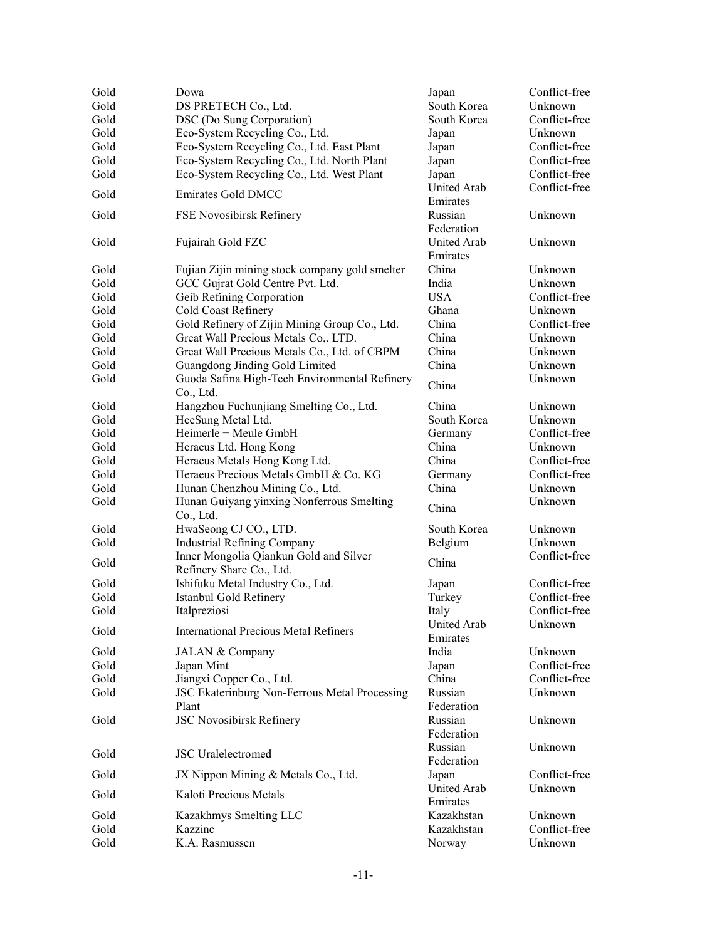| Gold | Dowa                                                               | Japan                          | Conflict-free |
|------|--------------------------------------------------------------------|--------------------------------|---------------|
| Gold | DS PRETECH Co., Ltd.                                               | South Korea                    | Unknown       |
| Gold | DSC (Do Sung Corporation)                                          | South Korea                    | Conflict-free |
| Gold | Eco-System Recycling Co., Ltd.                                     | Japan                          | Unknown       |
| Gold | Eco-System Recycling Co., Ltd. East Plant                          | Japan                          | Conflict-free |
| Gold | Eco-System Recycling Co., Ltd. North Plant                         | Japan                          | Conflict-free |
| Gold | Eco-System Recycling Co., Ltd. West Plant                          | Japan                          | Conflict-free |
| Gold | <b>Emirates Gold DMCC</b>                                          | United Arab<br>Emirates        | Conflict-free |
| Gold | FSE Novosibirsk Refinery                                           | Russian<br>Federation          | Unknown       |
| Gold | Fujairah Gold FZC                                                  | United Arab<br>Emirates        | Unknown       |
| Gold | Fujian Zijin mining stock company gold smelter                     | China                          | Unknown       |
| Gold | GCC Gujrat Gold Centre Pvt. Ltd.                                   | India                          | Unknown       |
| Gold | Geib Refining Corporation                                          | <b>USA</b>                     | Conflict-free |
| Gold | Cold Coast Refinery                                                | Ghana                          | Unknown       |
| Gold | Gold Refinery of Zijin Mining Group Co., Ltd.                      | China                          | Conflict-free |
| Gold | Great Wall Precious Metals Co,. LTD.                               | China                          | Unknown       |
| Gold | Great Wall Precious Metals Co., Ltd. of CBPM                       | China                          | Unknown       |
| Gold | Guangdong Jinding Gold Limited                                     | China                          | Unknown       |
| Gold | Guoda Safina High-Tech Environmental Refinery<br>Co., Ltd.         | China                          | Unknown       |
| Gold | Hangzhou Fuchunjiang Smelting Co., Ltd.                            | China                          | Unknown       |
| Gold | HeeSung Metal Ltd.                                                 | South Korea                    | Unknown       |
| Gold | Heimerle + Meule GmbH                                              |                                | Conflict-free |
| Gold |                                                                    | Germany<br>China               | Unknown       |
|      | Heraeus Ltd. Hong Kong<br>Heraeus Metals Hong Kong Ltd.            | China                          | Conflict-free |
| Gold |                                                                    |                                | Conflict-free |
| Gold | Heraeus Precious Metals GmbH & Co. KG                              | Germany                        |               |
| Gold | Hunan Chenzhou Mining Co., Ltd.                                    | China                          | Unknown       |
| Gold | Hunan Guiyang yinxing Nonferrous Smelting<br>Co., Ltd.             | China                          | Unknown       |
| Gold | HwaSeong CJ CO., LTD.                                              | South Korea                    | Unknown       |
| Gold | <b>Industrial Refining Company</b>                                 | Belgium                        | Unknown       |
| Gold | Inner Mongolia Qiankun Gold and Silver<br>Refinery Share Co., Ltd. | China                          | Conflict-free |
| Gold | Ishifuku Metal Industry Co., Ltd.                                  | Japan                          | Conflict-free |
| Gold | Istanbul Gold Refinery                                             | Turkey                         | Conflict-free |
| Gold | Italpreziosi                                                       | Italy                          | Conflict-free |
| Gold | <b>International Precious Metal Refiners</b>                       | <b>United Arab</b><br>Emirates | Unknown       |
| Gold | JALAN & Company                                                    | India                          | Unknown       |
| Gold | Japan Mint                                                         | Japan                          | Conflict-free |
| Gold | Jiangxi Copper Co., Ltd.                                           | China                          | Conflict-free |
| Gold | JSC Ekaterinburg Non-Ferrous Metal Processing<br>Plant             | Russian<br>Federation          | Unknown       |
| Gold | JSC Novosibirsk Refinery                                           | Russian<br>Federation          | Unknown       |
| Gold | <b>JSC</b> Uralelectromed                                          | Russian<br>Federation          | Unknown       |
| Gold | JX Nippon Mining & Metals Co., Ltd.                                | Japan                          | Conflict-free |
| Gold | Kaloti Precious Metals                                             | United Arab<br>Emirates        | Unknown       |
| Gold | Kazakhmys Smelting LLC                                             | Kazakhstan                     | Unknown       |
| Gold | Kazzinc                                                            | Kazakhstan                     | Conflict-free |
| Gold | K.A. Rasmussen                                                     | Norway                         | Unknown       |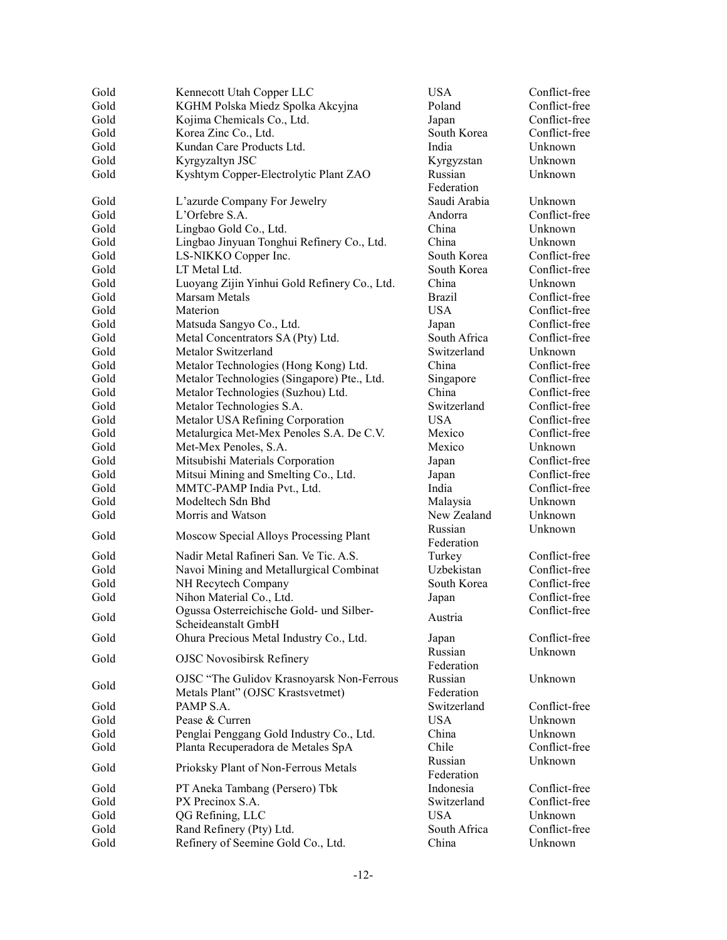| Gold | Kennecott Utah Copper LLC                    | <b>USA</b>    | Conflict-free |
|------|----------------------------------------------|---------------|---------------|
| Gold | KGHM Polska Miedz Spolka Akcyjna             | Poland        | Conflict-free |
| Gold | Kojima Chemicals Co., Ltd.                   | Japan         | Conflict-free |
| Gold | Korea Zinc Co., Ltd.                         | South Korea   | Conflict-free |
| Gold | Kundan Care Products Ltd.                    | India         | Unknown       |
| Gold | Kyrgyzaltyn JSC                              | Kyrgyzstan    | Unknown       |
| Gold | Kyshtym Copper-Electrolytic Plant ZAO        | Russian       | Unknown       |
|      |                                              | Federation    |               |
| Gold | L'azurde Company For Jewelry                 | Saudi Arabia  | Unknown       |
| Gold | $L$ 'Orfebre S.A.                            | Andorra       | Conflict-free |
| Gold | Lingbao Gold Co., Ltd.                       | China         | Unknown       |
| Gold | Lingbao Jinyuan Tonghui Refinery Co., Ltd.   | China         | Unknown       |
| Gold | LS-NIKKO Copper Inc.                         | South Korea   | Conflict-free |
| Gold | LT Metal Ltd.                                | South Korea   | Conflict-free |
| Gold | Luoyang Zijin Yinhui Gold Refinery Co., Ltd. | China         | Unknown       |
| Gold | Marsam Metals                                | <b>Brazil</b> | Conflict-free |
| Gold | Materion                                     | <b>USA</b>    | Conflict-free |
| Gold | Matsuda Sangyo Co., Ltd.                     | Japan         | Conflict-free |
| Gold | Metal Concentrators SA (Pty) Ltd.            | South Africa  | Conflict-free |
| Gold | Metalor Switzerland                          | Switzerland   | Unknown       |
| Gold | Metalor Technologies (Hong Kong) Ltd.        | China         | Conflict-free |
| Gold | Metalor Technologies (Singapore) Pte., Ltd.  | Singapore     | Conflict-free |
| Gold | Metalor Technologies (Suzhou) Ltd.           | China         | Conflict-free |
| Gold | Metalor Technologies S.A.                    | Switzerland   | Conflict-free |
| Gold | Metalor USA Refining Corporation             | <b>USA</b>    | Conflict-free |
| Gold | Metalurgica Met-Mex Penoles S.A. De C.V.     | Mexico        | Conflict-free |
| Gold | Met-Mex Penoles, S.A.                        | Mexico        | Unknown       |
| Gold | Mitsubishi Materials Corporation             | Japan         | Conflict-free |
| Gold | Mitsui Mining and Smelting Co., Ltd.         | Japan         | Conflict-free |
| Gold | MMTC-PAMP India Pvt., Ltd.                   | India         | Conflict-free |
| Gold | Modeltech Sdn Bhd                            | Malaysia      | Unknown       |
| Gold | Morris and Watson                            | New Zealand   | Unknown       |
| Gold | Moscow Special Alloys Processing Plant       | Russian       | Unknown       |
|      |                                              | Federation    |               |
| Gold | Nadir Metal Rafineri San. Ve Tic. A.S.       | Turkey        | Conflict-free |
| Gold | Navoi Mining and Metallurgical Combinat      | Uzbekistan    | Conflict-free |
| Gold | NH Recytech Company                          | South Korea   | Conflict-free |
| Gold | Nihon Material Co., Ltd.                     | Japan         | Conflict-free |
| Gold | Ogussa Osterreichische Gold- und Silber-     | Austria       | Conflict-free |
|      | Scheideanstalt GmbH                          |               |               |
| Gold | Ohura Precious Metal Industry Co., Ltd.      | Japan         | Conflict-free |
| Gold | <b>OJSC Novosibirsk Refinery</b>             | Russian       | Unknown       |
|      |                                              | Federation    |               |
| Gold | OJSC "The Gulidov Krasnoyarsk Non-Ferrous    | Russian       | Unknown       |
|      | Metals Plant" (OJSC Krastsvetmet)            | Federation    |               |
| Gold | PAMP S.A.                                    | Switzerland   | Conflict-free |
| Gold | Pease & Curren                               | <b>USA</b>    | Unknown       |
| Gold | Penglai Penggang Gold Industry Co., Ltd.     | China         | Unknown       |
| Gold | Planta Recuperadora de Metales SpA           | Chile         | Conflict-free |
| Gold | Prioksky Plant of Non-Ferrous Metals         | Russian       | Unknown       |
|      |                                              | Federation    |               |
| Gold | PT Aneka Tambang (Persero) Tbk               | Indonesia     | Conflict-free |
| Gold | PX Precinox S.A.                             | Switzerland   | Conflict-free |
| Gold | QG Refining, LLC                             | <b>USA</b>    | Unknown       |
| Gold | Rand Refinery (Pty) Ltd.                     | South Africa  | Conflict-free |
| Gold | Refinery of Seemine Gold Co., Ltd.           | China         | Unknown       |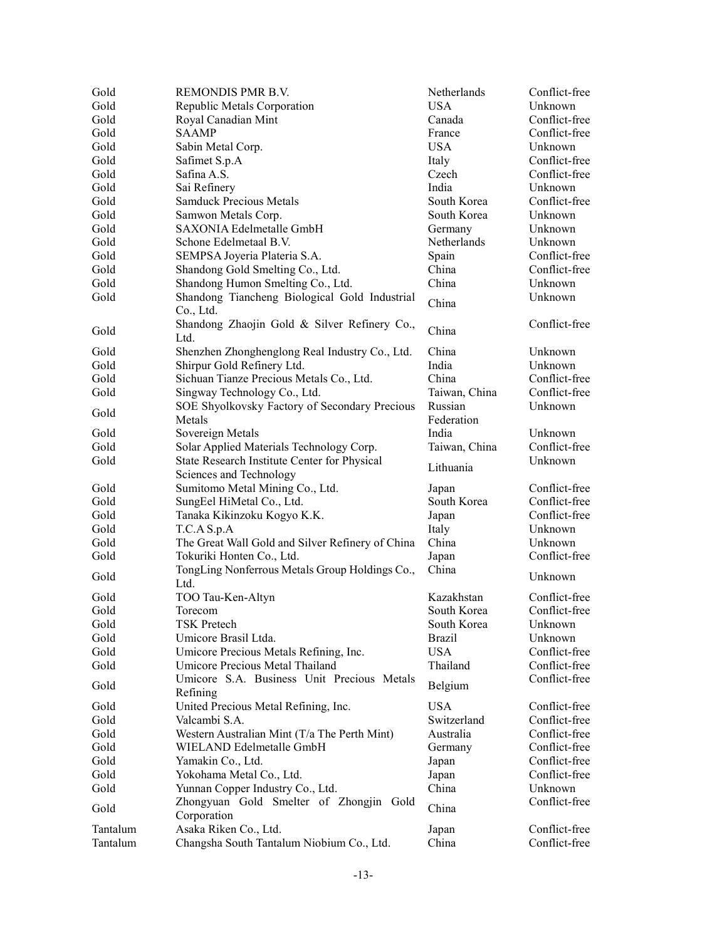| Gold     | REMONDIS PMR B.V.                                                       | Netherlands           | Conflict-free |
|----------|-------------------------------------------------------------------------|-----------------------|---------------|
| Gold     | Republic Metals Corporation                                             | <b>USA</b>            | Unknown       |
| Gold     | Royal Canadian Mint                                                     | Canada                | Conflict-free |
| Gold     | <b>SAAMP</b>                                                            | France                | Conflict-free |
| Gold     | Sabin Metal Corp.                                                       | <b>USA</b>            | Unknown       |
| Gold     | Safimet S.p.A                                                           | Italy                 | Conflict-free |
| Gold     | Safina A.S.                                                             | Czech                 | Conflict-free |
| Gold     | Sai Refinery                                                            | India                 | Unknown       |
| Gold     | <b>Samduck Precious Metals</b>                                          | South Korea           | Conflict-free |
| Gold     | Samwon Metals Corp.                                                     | South Korea           | Unknown       |
| Gold     | SAXONIA Edelmetalle GmbH                                                | Germany               | Unknown       |
| Gold     | Schone Edelmetaal B.V.                                                  | Netherlands           | Unknown       |
| Gold     | SEMPSA Joyeria Plateria S.A.                                            | Spain                 | Conflict-free |
| Gold     | Shandong Gold Smelting Co., Ltd.                                        | China                 | Conflict-free |
| Gold     | Shandong Humon Smelting Co., Ltd.                                       | China                 | Unknown       |
| Gold     | Shandong Tiancheng Biological Gold Industrial                           |                       | Unknown       |
|          | Co., Ltd.                                                               | China                 |               |
| Gold     | Shandong Zhaojin Gold & Silver Refinery Co.,<br>Ltd.                    | China                 | Conflict-free |
| Gold     | Shenzhen Zhonghenglong Real Industry Co., Ltd.                          | China                 | Unknown       |
| Gold     | Shirpur Gold Refinery Ltd.                                              | India                 | Unknown       |
| Gold     | Sichuan Tianze Precious Metals Co., Ltd.                                | China                 | Conflict-free |
| Gold     | Singway Technology Co., Ltd.                                            | Taiwan, China         | Conflict-free |
| Gold     | SOE Shyolkovsky Factory of Secondary Precious<br>Metals                 | Russian<br>Federation | Unknown       |
| Gold     | Sovereign Metals                                                        | India                 | Unknown       |
| Gold     | Solar Applied Materials Technology Corp.                                | Taiwan, China         | Conflict-free |
| Gold     | State Research Institute Center for Physical<br>Sciences and Technology | Lithuania             | Unknown       |
| Gold     | Sumitomo Metal Mining Co., Ltd.                                         | Japan                 | Conflict-free |
| Gold     | SungEel HiMetal Co., Ltd.                                               | South Korea           | Conflict-free |
| Gold     | Tanaka Kikinzoku Kogyo K.K.                                             | Japan                 | Conflict-free |
| Gold     | T.C.A S.p.A                                                             | Italy                 | Unknown       |
| Gold     | The Great Wall Gold and Silver Refinery of China                        | China                 | Unknown       |
| Gold     | Tokuriki Honten Co., Ltd.                                               | Japan                 | Conflict-free |
| Gold     | TongLing Nonferrous Metals Group Holdings Co.,<br>Ltd.                  | China                 | Unknown       |
| Gold     | TOO Tau-Ken-Altyn                                                       | Kazakhstan            | Conflict-free |
| Gold     | Torecom                                                                 | South Korea           | Conflict-free |
| Gold     | <b>TSK Pretech</b>                                                      | South Korea           | Unknown       |
| Gold     | Umicore Brasil Ltda.                                                    | <b>Brazil</b>         | Unknown       |
| Gold     | Umicore Precious Metals Refining, Inc.                                  | <b>USA</b>            | Conflict-free |
| Gold     | Umicore Precious Metal Thailand                                         | Thailand              | Conflict-free |
| Gold     | Umicore S.A. Business Unit Precious Metals<br>Refining                  | Belgium               | Conflict-free |
| Gold     | United Precious Metal Refining, Inc.                                    | <b>USA</b>            | Conflict-free |
| Gold     | Valcambi S.A.                                                           | Switzerland           | Conflict-free |
| Gold     |                                                                         | Australia             | Conflict-free |
|          | Western Australian Mint (T/a The Perth Mint)                            |                       | Conflict-free |
| Gold     | WIELAND Edelmetalle GmbH                                                | Germany               |               |
| Gold     | Yamakin Co., Ltd.                                                       | Japan                 | Conflict-free |
| Gold     | Yokohama Metal Co., Ltd.                                                | Japan                 | Conflict-free |
| Gold     | Yunnan Copper Industry Co., Ltd.                                        | China                 | Unknown       |
| Gold     | Zhongyuan Gold Smelter of Zhongjin Gold<br>Corporation                  | China                 | Conflict-free |
| Tantalum | Asaka Riken Co., Ltd.                                                   | Japan                 | Conflict-free |
| Tantalum | Changsha South Tantalum Niobium Co., Ltd.                               | China                 | Conflict-free |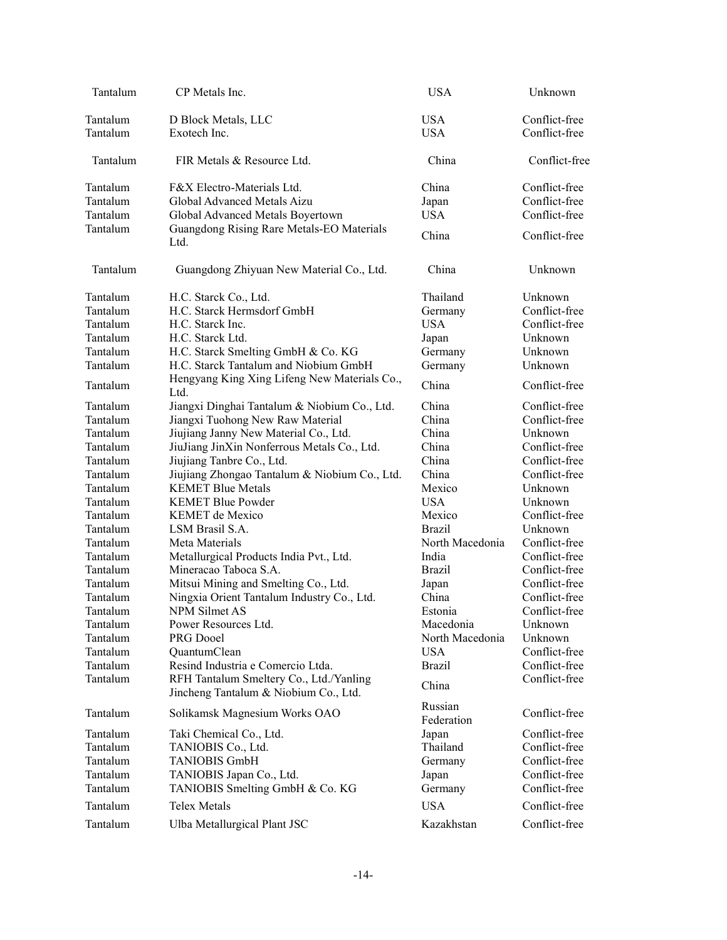| Tantalum                                                                                                                                                                                                                                     | CP Metals Inc.                                                                                                                                                                                                                                                                                                                                                                                                                                                                                                                                                                                                                                     | <b>USA</b>                                                                                                                                                                                                                                     | Unknown                                                                                                                                                                                                                                                                                                      |
|----------------------------------------------------------------------------------------------------------------------------------------------------------------------------------------------------------------------------------------------|----------------------------------------------------------------------------------------------------------------------------------------------------------------------------------------------------------------------------------------------------------------------------------------------------------------------------------------------------------------------------------------------------------------------------------------------------------------------------------------------------------------------------------------------------------------------------------------------------------------------------------------------------|------------------------------------------------------------------------------------------------------------------------------------------------------------------------------------------------------------------------------------------------|--------------------------------------------------------------------------------------------------------------------------------------------------------------------------------------------------------------------------------------------------------------------------------------------------------------|
| Tantalum<br>Tantalum                                                                                                                                                                                                                         | D Block Metals, LLC<br>Exotech Inc.                                                                                                                                                                                                                                                                                                                                                                                                                                                                                                                                                                                                                | <b>USA</b><br><b>USA</b>                                                                                                                                                                                                                       | Conflict-free<br>Conflict-free                                                                                                                                                                                                                                                                               |
| Tantalum                                                                                                                                                                                                                                     | FIR Metals & Resource Ltd.                                                                                                                                                                                                                                                                                                                                                                                                                                                                                                                                                                                                                         | China                                                                                                                                                                                                                                          | Conflict-free                                                                                                                                                                                                                                                                                                |
| Tantalum<br>Tantalum<br>Tantalum<br>Tantalum                                                                                                                                                                                                 | F&X Electro-Materials Ltd.<br>Global Advanced Metals Aizu<br>Global Advanced Metals Boyertown<br>Guangdong Rising Rare Metals-EO Materials<br>Ltd.                                                                                                                                                                                                                                                                                                                                                                                                                                                                                                 | China<br>Japan<br><b>USA</b><br>China                                                                                                                                                                                                          | Conflict-free<br>Conflict-free<br>Conflict-free<br>Conflict-free                                                                                                                                                                                                                                             |
| Tantalum                                                                                                                                                                                                                                     | Guangdong Zhiyuan New Material Co., Ltd.                                                                                                                                                                                                                                                                                                                                                                                                                                                                                                                                                                                                           | China                                                                                                                                                                                                                                          | Unknown                                                                                                                                                                                                                                                                                                      |
| Tantalum<br>Tantalum<br>Tantalum<br>Tantalum<br>Tantalum<br>Tantalum                                                                                                                                                                         | H.C. Starck Co., Ltd.<br>H.C. Starck Hermsdorf GmbH<br>H.C. Starck Inc.<br>H.C. Starck Ltd.<br>H.C. Starck Smelting GmbH & Co. KG<br>H.C. Starck Tantalum and Niobium GmbH                                                                                                                                                                                                                                                                                                                                                                                                                                                                         | Thailand<br>Germany<br><b>USA</b><br>Japan<br>Germany<br>Germany                                                                                                                                                                               | Unknown<br>Conflict-free<br>Conflict-free<br>Unknown<br>Unknown<br>Unknown                                                                                                                                                                                                                                   |
| Tantalum                                                                                                                                                                                                                                     | Hengyang King Xing Lifeng New Materials Co.,<br>Ltd.                                                                                                                                                                                                                                                                                                                                                                                                                                                                                                                                                                                               | China                                                                                                                                                                                                                                          | Conflict-free                                                                                                                                                                                                                                                                                                |
| Tantalum<br>Tantalum<br>Tantalum<br>Tantalum<br>Tantalum<br>Tantalum<br>Tantalum<br>Tantalum<br>Tantalum<br>Tantalum<br>Tantalum<br>Tantalum<br>Tantalum<br>Tantalum<br>Tantalum<br>Tantalum<br>Tantalum<br>Tantalum<br>Tantalum<br>Tantalum | Jiangxi Dinghai Tantalum & Niobium Co., Ltd.<br>Jiangxi Tuohong New Raw Material<br>Jiujiang Janny New Material Co., Ltd.<br>JiuJiang JinXin Nonferrous Metals Co., Ltd.<br>Jiujiang Tanbre Co., Ltd.<br>Jiujiang Zhongao Tantalum & Niobium Co., Ltd.<br><b>KEMET Blue Metals</b><br><b>KEMET Blue Powder</b><br><b>KEMET</b> de Mexico<br>LSM Brasil S.A.<br>Meta Materials<br>Metallurgical Products India Pvt., Ltd.<br>Mineracao Taboca S.A.<br>Mitsui Mining and Smelting Co., Ltd.<br>Ningxia Orient Tantalum Industry Co., Ltd.<br>NPM Silmet AS<br>Power Resources Ltd.<br>PRG Dooel<br>QuantumClean<br>Resind Industria e Comercio Ltda. | China<br>China<br>China<br>China<br>China<br>China<br>Mexico<br><b>USA</b><br>Mexico<br><b>Brazil</b><br>North Macedonia<br>India<br><b>Brazil</b><br>Japan<br>China<br>Estonia<br>Macedonia<br>North Macedonia<br><b>USA</b><br><b>Brazil</b> | Conflict-free<br>Conflict-free<br>Unknown<br>Conflict-free<br>Conflict-free<br>Conflict-free<br>Unknown<br>Unknown<br>Conflict-free<br>Unknown<br>Conflict-free<br>Conflict-free<br>Conflict-free<br>Conflict-free<br>Conflict-free<br>Conflict-free<br>Unknown<br>Unknown<br>Conflict-free<br>Conflict-free |
| Tantalum                                                                                                                                                                                                                                     | RFH Tantalum Smeltery Co., Ltd./Yanling<br>Jincheng Tantalum & Niobium Co., Ltd.                                                                                                                                                                                                                                                                                                                                                                                                                                                                                                                                                                   | China<br>Russian                                                                                                                                                                                                                               | Conflict-free                                                                                                                                                                                                                                                                                                |
| Tantalum                                                                                                                                                                                                                                     | Solikamsk Magnesium Works OAO                                                                                                                                                                                                                                                                                                                                                                                                                                                                                                                                                                                                                      | Federation                                                                                                                                                                                                                                     | Conflict-free                                                                                                                                                                                                                                                                                                |
| Tantalum<br>Tantalum<br>Tantalum<br>Tantalum<br>Tantalum                                                                                                                                                                                     | Taki Chemical Co., Ltd.<br>TANIOBIS Co., Ltd.<br><b>TANIOBIS GmbH</b><br>TANIOBIS Japan Co., Ltd.<br>TANIOBIS Smelting GmbH & Co. KG                                                                                                                                                                                                                                                                                                                                                                                                                                                                                                               | Japan<br>Thailand<br>Germany<br>Japan<br>Germany                                                                                                                                                                                               | Conflict-free<br>Conflict-free<br>Conflict-free<br>Conflict-free<br>Conflict-free                                                                                                                                                                                                                            |
| Tantalum                                                                                                                                                                                                                                     | <b>Telex Metals</b>                                                                                                                                                                                                                                                                                                                                                                                                                                                                                                                                                                                                                                | <b>USA</b>                                                                                                                                                                                                                                     | Conflict-free                                                                                                                                                                                                                                                                                                |
| Tantalum                                                                                                                                                                                                                                     | Ulba Metallurgical Plant JSC                                                                                                                                                                                                                                                                                                                                                                                                                                                                                                                                                                                                                       | Kazakhstan                                                                                                                                                                                                                                     | Conflict-free                                                                                                                                                                                                                                                                                                |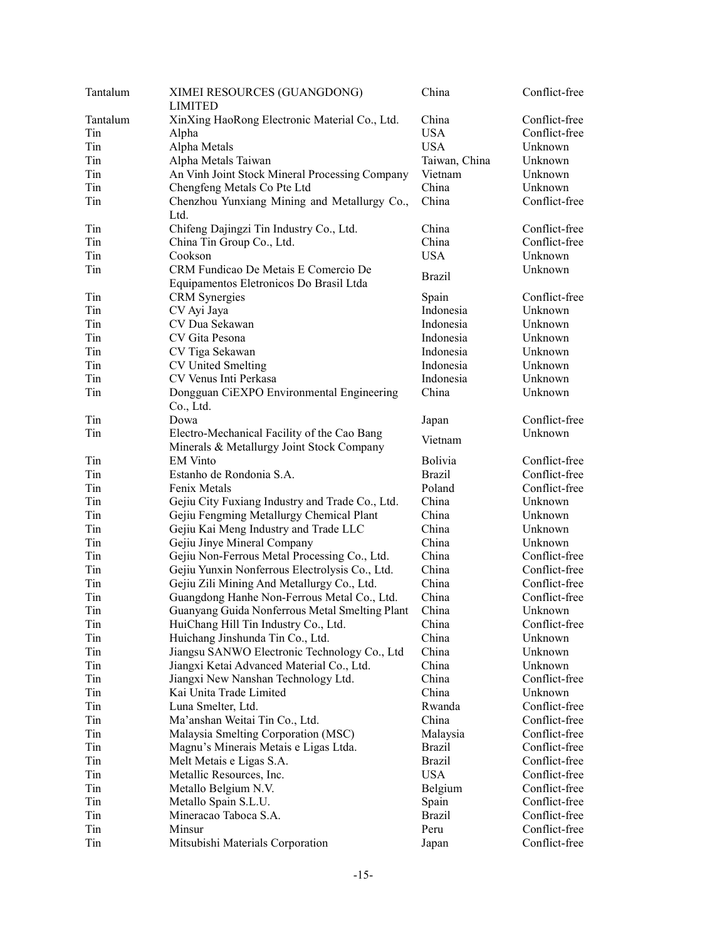| Tantalum | XIMEI RESOURCES (GUANGDONG)<br><b>LIMITED</b>                                   | China         | Conflict-free |
|----------|---------------------------------------------------------------------------------|---------------|---------------|
| Tantalum | XinXing HaoRong Electronic Material Co., Ltd.                                   | China         | Conflict-free |
| Tin      | Alpha                                                                           | <b>USA</b>    | Conflict-free |
| Tin      | Alpha Metals                                                                    | <b>USA</b>    | Unknown       |
| Tin      | Alpha Metals Taiwan                                                             | Taiwan, China | Unknown       |
| Tin      | An Vinh Joint Stock Mineral Processing Company                                  | Vietnam       | Unknown       |
| Tin      | Chengfeng Metals Co Pte Ltd                                                     | China         | Unknown       |
| Tin      | Chenzhou Yunxiang Mining and Metallurgy Co.,                                    | China         | Conflict-free |
|          | Ltd.                                                                            |               |               |
| Tin      | Chifeng Dajingzi Tin Industry Co., Ltd.                                         | China         | Conflict-free |
| Tin      | China Tin Group Co., Ltd.                                                       | China         | Conflict-free |
| Tin      | Cookson                                                                         | <b>USA</b>    | Unknown       |
| Tin      | CRM Fundicao De Metais E Comercio De<br>Equipamentos Eletronicos Do Brasil Ltda | <b>Brazil</b> | Unknown       |
| Tin      | CRM Synergies                                                                   | Spain         | Conflict-free |
| Tin      | CV Ayi Jaya                                                                     | Indonesia     | Unknown       |
| Tin      | CV Dua Sekawan                                                                  | Indonesia     | Unknown       |
| Tin      | CV Gita Pesona                                                                  | Indonesia     | Unknown       |
| Tin      |                                                                                 | Indonesia     | Unknown       |
| Tin      | CV Tiga Sekawan<br>CV United Smelting                                           | Indonesia     | Unknown       |
|          | CV Venus Inti Perkasa                                                           |               |               |
| Tin      |                                                                                 | Indonesia     | Unknown       |
| Tin      | Dongguan CiEXPO Environmental Engineering<br>Co., Ltd.                          | China         | Unknown       |
| Tin      | Dowa                                                                            | Japan         | Conflict-free |
| Tin      | Electro-Mechanical Facility of the Cao Bang                                     | Vietnam       | Unknown       |
|          | Minerals & Metallurgy Joint Stock Company                                       |               |               |
| Tin      | <b>EM Vinto</b>                                                                 | Bolivia       | Conflict-free |
| Tin      | Estanho de Rondonia S.A.                                                        | <b>Brazil</b> | Conflict-free |
| Tin      | Fenix Metals                                                                    | Poland        | Conflict-free |
| Tin      | Gejiu City Fuxiang Industry and Trade Co., Ltd.                                 | China         | Unknown       |
| Tin      | Gejiu Fengming Metallurgy Chemical Plant                                        | China         | Unknown       |
| Tin      | Gejiu Kai Meng Industry and Trade LLC                                           | China         | Unknown       |
| Tin      | Gejiu Jinye Mineral Company                                                     | China         | Unknown       |
| Tin      | Gejiu Non-Ferrous Metal Processing Co., Ltd.                                    | China         | Conflict-free |
| Tin      | Gejiu Yunxin Nonferrous Electrolysis Co., Ltd.                                  | China         | Conflict-free |
| Tin      | Gejiu Zili Mining And Metallurgy Co., Ltd.                                      | China         | Conflict-free |
| Tin      | Guangdong Hanhe Non-Ferrous Metal Co., Ltd.                                     | China         | Conflict-free |
| Tin      | Guanyang Guida Nonferrous Metal Smelting Plant                                  | China         | Unknown       |
| Tin      | HuiChang Hill Tin Industry Co., Ltd.                                            | China         | Conflict-free |
| Tin      | Huichang Jinshunda Tin Co., Ltd.                                                | China         | Unknown       |
| Tin      | Jiangsu SANWO Electronic Technology Co., Ltd                                    | China         | Unknown       |
| Tin      | Jiangxi Ketai Advanced Material Co., Ltd.                                       | China         | Unknown       |
| Tin      | Jiangxi New Nanshan Technology Ltd.                                             | China         | Conflict-free |
| Tin      | Kai Unita Trade Limited                                                         | China         | Unknown       |
| Tin      | Luna Smelter, Ltd.                                                              | Rwanda        | Conflict-free |
| Tin      | Ma'anshan Weitai Tin Co., Ltd.                                                  | China         | Conflict-free |
| Tin      | Malaysia Smelting Corporation (MSC)                                             | Malaysia      | Conflict-free |
| Tin      | Magnu's Minerais Metais e Ligas Ltda.                                           | <b>Brazil</b> | Conflict-free |
| Tin      | Melt Metais e Ligas S.A.                                                        | Brazil        | Conflict-free |
| Tin      | Metallic Resources, Inc.                                                        | <b>USA</b>    | Conflict-free |
| Tin      | Metallo Belgium N.V.                                                            | Belgium       | Conflict-free |
| Tin      | Metallo Spain S.L.U.                                                            | Spain         | Conflict-free |
| Tin      | Mineracao Taboca S.A.                                                           | <b>Brazil</b> | Conflict-free |
| Tin      | Minsur                                                                          | Peru          | Conflict-free |
| Tin      | Mitsubishi Materials Corporation                                                | Japan         | Conflict-free |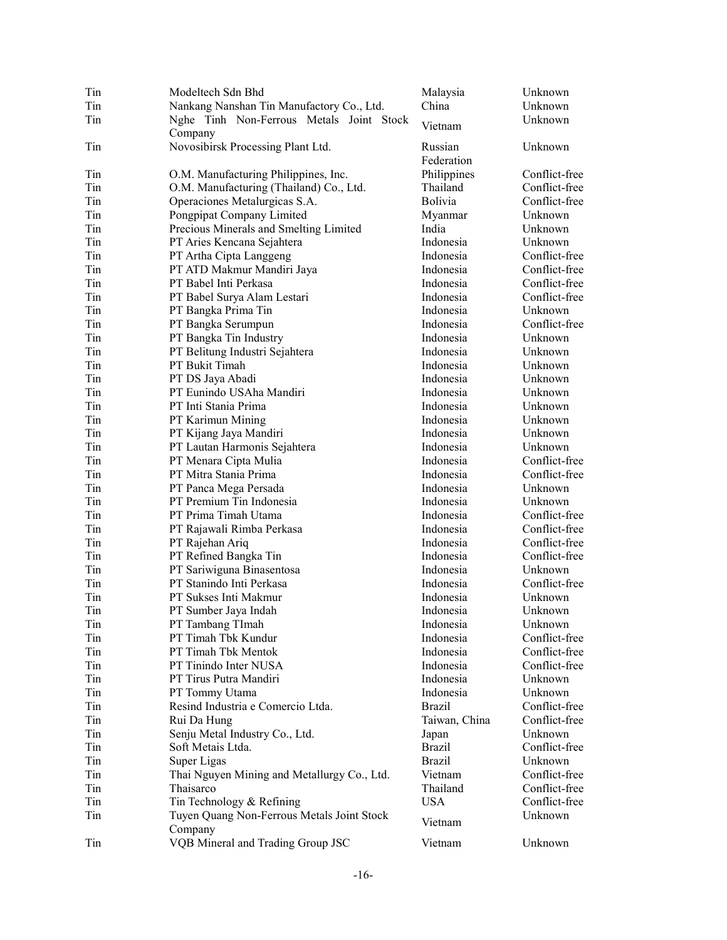| Tin | Modeltech Sdn Bhd                            | Malaysia              | Unknown       |
|-----|----------------------------------------------|-----------------------|---------------|
| Tin | Nankang Nanshan Tin Manufactory Co., Ltd.    | China                 | Unknown       |
| Tin | Nghe Tinh Non-Ferrous Metals Joint Stock     | Vietnam               | Unknown       |
| Tin | Company<br>Novosibirsk Processing Plant Ltd. | Russian<br>Federation | Unknown       |
|     |                                              |                       |               |
| Tin | O.M. Manufacturing Philippines, Inc.         | Philippines           | Conflict-free |
| Tin | O.M. Manufacturing (Thailand) Co., Ltd.      | Thailand              | Conflict-free |
| Tin | Operaciones Metalurgicas S.A.                | <b>Bolivia</b>        | Conflict-free |
| Tin | Pongpipat Company Limited                    | Myanmar               | Unknown       |
| Tin | Precious Minerals and Smelting Limited       | India                 | Unknown       |
| Tin | PT Aries Kencana Sejahtera                   | Indonesia             | Unknown       |
| Tin | PT Artha Cipta Langgeng                      | Indonesia             | Conflict-free |
| Tin | PT ATD Makmur Mandiri Jaya                   | Indonesia             | Conflict-free |
| Tin | PT Babel Inti Perkasa                        | Indonesia             | Conflict-free |
| Tin | PT Babel Surya Alam Lestari                  | Indonesia             | Conflict-free |
| Tin | PT Bangka Prima Tin                          | Indonesia             | Unknown       |
| Tin | PT Bangka Serumpun                           | Indonesia             | Conflict-free |
| Tin | PT Bangka Tin Industry                       | Indonesia             | Unknown       |
| Tin | PT Belitung Industri Sejahtera               | Indonesia             | Unknown       |
| Tin | PT Bukit Timah                               | Indonesia             | Unknown       |
| Tin | PT DS Jaya Abadi                             | Indonesia             | Unknown       |
| Tin | PT Eunindo USAha Mandiri                     | Indonesia             | Unknown       |
| Tin | PT Inti Stania Prima                         | Indonesia             | Unknown       |
| Tin | PT Karimun Mining                            | Indonesia             | Unknown       |
| Tin | PT Kijang Jaya Mandiri                       | Indonesia             | Unknown       |
| Tin | PT Lautan Harmonis Sejahtera                 | Indonesia             | Unknown       |
| Tin | PT Menara Cipta Mulia                        | Indonesia             | Conflict-free |
| Tin | PT Mitra Stania Prima                        | Indonesia             | Conflict-free |
| Tin | PT Panca Mega Persada                        | Indonesia             | Unknown       |
| Tin | PT Premium Tin Indonesia                     | Indonesia             | Unknown       |
| Tin | PT Prima Timah Utama                         | Indonesia             | Conflict-free |
| Tin | PT Rajawali Rimba Perkasa                    | Indonesia             | Conflict-free |
| Tin | PT Rajehan Ariq                              | Indonesia             | Conflict-free |
| Tin | PT Refined Bangka Tin                        | Indonesia             | Conflict-free |
| Tin | PT Sariwiguna Binasentosa                    | Indonesia             | Unknown       |
| Tin | PT Stanindo Inti Perkasa                     | Indonesia             | Conflict-free |
| Tin | PT Sukses Inti Makmur                        | Indonesia             | Unknown       |
| Tin | PT Sumber Jaya Indah                         | Indonesia             | Unknown       |
| Tin | PT Tambang TImah                             | Indonesia             | Unknown       |
| Tin | PT Timah Tbk Kundur                          | Indonesia             | Conflict-free |
| Tin | PT Timah Tbk Mentok                          | Indonesia             | Conflict-free |
| Tin | PT Tinindo Inter NUSA                        | Indonesia             | Conflict-free |
|     |                                              |                       |               |
| Tin | PT Tirus Putra Mandiri                       | Indonesia             | Unknown       |
| Tin | PT Tommy Utama                               | Indonesia             | Unknown       |
| Tin | Resind Industria e Comercio Ltda.            | <b>Brazil</b>         | Conflict-free |
| Tin | Rui Da Hung                                  | Taiwan, China         | Conflict-free |
| Tin | Senju Metal Industry Co., Ltd.               | Japan                 | Unknown       |
| Tin | Soft Metais Ltda.                            | <b>Brazil</b>         | Conflict-free |
| Tin | Super Ligas                                  | <b>Brazil</b>         | Unknown       |
| Tin | Thai Nguyen Mining and Metallurgy Co., Ltd.  | Vietnam               | Conflict-free |
| Tin | Thaisarco                                    | Thailand              | Conflict-free |
| Tin | Tin Technology & Refining                    | <b>USA</b>            | Conflict-free |
| Tin | Tuyen Quang Non-Ferrous Metals Joint Stock   | Vietnam               | Unknown       |
|     | Company                                      |                       |               |
| Tin | VQB Mineral and Trading Group JSC            | Vietnam               | Unknown       |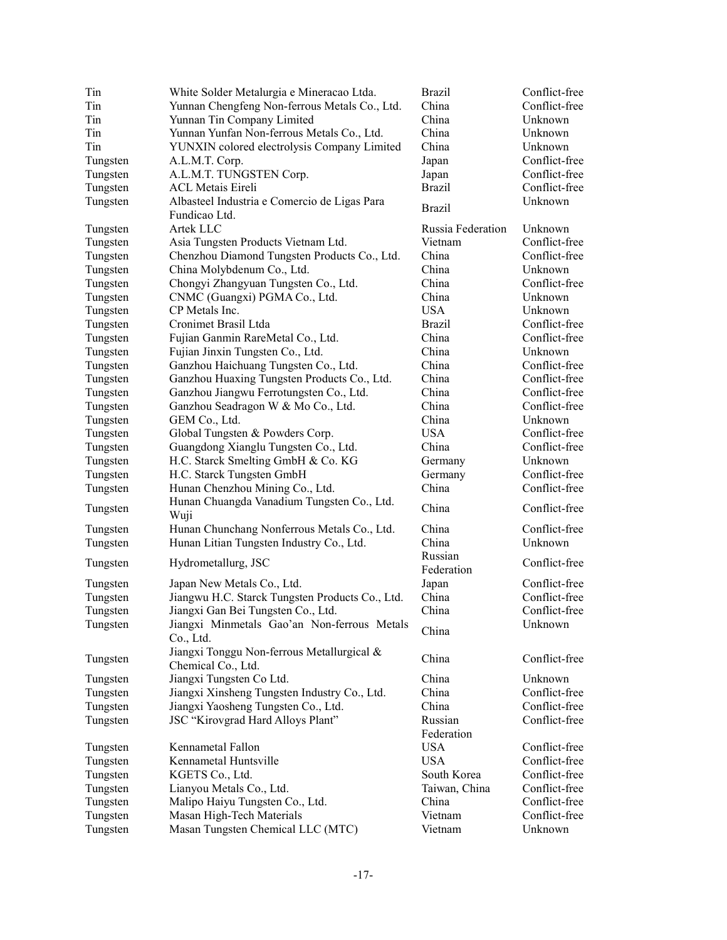| Tin      | White Solder Metalurgia e Mineracao Ltda.                        | <b>Brazil</b>         | Conflict-free                  |
|----------|------------------------------------------------------------------|-----------------------|--------------------------------|
| Tin      | Yunnan Chengfeng Non-ferrous Metals Co., Ltd.                    | China                 | Conflict-free                  |
| Tin      | Yunnan Tin Company Limited                                       | China                 | Unknown                        |
| Tin      | Yunnan Yunfan Non-ferrous Metals Co., Ltd.                       | China                 | Unknown                        |
| Tin      | YUNXIN colored electrolysis Company Limited                      | China                 | Unknown                        |
| Tungsten | A.L.M.T. Corp.                                                   | Japan                 | Conflict-free                  |
| Tungsten | A.L.M.T. TUNGSTEN Corp.                                          | Japan                 | Conflict-free                  |
| Tungsten | <b>ACL Metais Eireli</b>                                         | <b>Brazil</b>         | Conflict-free                  |
| Tungsten | Albasteel Industria e Comercio de Ligas Para<br>Fundicao Ltd.    | <b>Brazil</b>         | Unknown                        |
| Tungsten | Artek LLC                                                        | Russia Federation     | Unknown                        |
| Tungsten | Asia Tungsten Products Vietnam Ltd.                              | Vietnam               | Conflict-free                  |
| Tungsten | Chenzhou Diamond Tungsten Products Co., Ltd.                     | China                 | Conflict-free                  |
| Tungsten | China Molybdenum Co., Ltd.                                       | China                 | Unknown                        |
| Tungsten | Chongyi Zhangyuan Tungsten Co., Ltd.                             | China                 | Conflict-free                  |
| Tungsten | CNMC (Guangxi) PGMA Co., Ltd.                                    | China                 | Unknown                        |
| Tungsten | CP Metals Inc.                                                   | <b>USA</b>            | Unknown                        |
| Tungsten | Cronimet Brasil Ltda                                             | Brazil                | Conflict-free                  |
| Tungsten | Fujian Ganmin RareMetal Co., Ltd.                                | China                 | Conflict-free                  |
| Tungsten | Fujian Jinxin Tungsten Co., Ltd.                                 | China                 | Unknown                        |
| Tungsten | Ganzhou Haichuang Tungsten Co., Ltd.                             | China                 | Conflict-free                  |
| Tungsten | Ganzhou Huaxing Tungsten Products Co., Ltd.                      | China                 | Conflict-free                  |
| Tungsten | Ganzhou Jiangwu Ferrotungsten Co., Ltd.                          | China                 | Conflict-free                  |
| Tungsten | Ganzhou Seadragon W & Mo Co., Ltd.                               | China                 | Conflict-free                  |
|          | GEM Co., Ltd.                                                    | China                 | Unknown                        |
| Tungsten |                                                                  |                       |                                |
| Tungsten | Global Tungsten & Powders Corp.                                  | <b>USA</b>            | Conflict-free<br>Conflict-free |
| Tungsten | Guangdong Xianglu Tungsten Co., Ltd.                             | China                 |                                |
| Tungsten | H.C. Starck Smelting GmbH & Co. KG                               | Germany               | Unknown                        |
| Tungsten | H.C. Starck Tungsten GmbH                                        | Germany               | Conflict-free                  |
| Tungsten | Hunan Chenzhou Mining Co., Ltd.                                  | China                 | Conflict-free                  |
| Tungsten | Hunan Chuangda Vanadium Tungsten Co., Ltd.<br>Wuji               | China                 | Conflict-free                  |
| Tungsten | Hunan Chunchang Nonferrous Metals Co., Ltd.                      | China                 | Conflict-free                  |
| Tungsten | Hunan Litian Tungsten Industry Co., Ltd.                         | China                 | Unknown                        |
| Tungsten | Hydrometallurg, JSC                                              | Russian<br>Federation | Conflict-free                  |
| Tungsten | Japan New Metals Co., Ltd.                                       | Japan                 | Conflict-free                  |
| Tungsten | Jiangwu H.C. Starck Tungsten Products Co., Ltd.                  | China                 | Conflict-free                  |
| Tungsten | Jiangxi Gan Bei Tungsten Co., Ltd.                               | China                 | Conflict-free                  |
| Tungsten | Jiangxi Minmetals Gao'an Non-ferrous Metals<br>Co., Ltd.         | China                 | Unknown                        |
| Tungsten | Jiangxi Tonggu Non-ferrous Metallurgical &<br>Chemical Co., Ltd. | China                 | Conflict-free                  |
| Tungsten | Jiangxi Tungsten Co Ltd.                                         | China                 | Unknown                        |
| Tungsten | Jiangxi Xinsheng Tungsten Industry Co., Ltd.                     | China                 | Conflict-free                  |
| Tungsten | Jiangxi Yaosheng Tungsten Co., Ltd.                              | China                 | Conflict-free                  |
| Tungsten | JSC "Kirovgrad Hard Alloys Plant"                                | Russian<br>Federation | Conflict-free                  |
| Tungsten | Kennametal Fallon                                                | <b>USA</b>            | Conflict-free                  |
| Tungsten | Kennametal Huntsville                                            | <b>USA</b>            | Conflict-free                  |
| Tungsten | KGETS Co., Ltd.                                                  | South Korea           | Conflict-free                  |
| Tungsten | Lianyou Metals Co., Ltd.                                         | Taiwan, China         | Conflict-free                  |
| Tungsten | Malipo Haiyu Tungsten Co., Ltd.                                  | China                 | Conflict-free                  |
| Tungsten | Masan High-Tech Materials                                        | Vietnam               | Conflict-free                  |
| Tungsten | Masan Tungsten Chemical LLC (MTC)                                | Vietnam               | Unknown                        |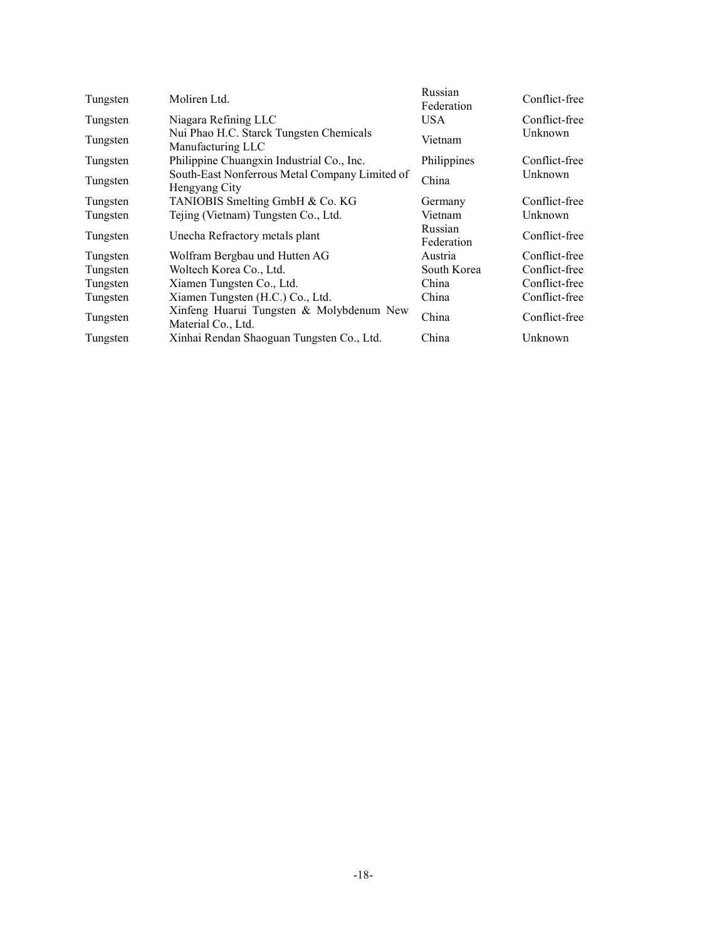| Tungsten | Moliren Ltd.                                                    | Russian<br>Federation | Conflict-free |
|----------|-----------------------------------------------------------------|-----------------------|---------------|
| Tungsten | Niagara Refining LLC                                            | USA.                  | Conflict-free |
| Tungsten | Nui Phao H.C. Starck Tungsten Chemicals<br>Manufacturing LLC    | Vietnam               | Unknown       |
| Tungsten | Philippine Chuangxin Industrial Co., Inc.                       | Philippines           | Conflict-free |
| Tungsten | South-East Nonferrous Metal Company Limited of<br>Hengyang City | China                 | Unknown       |
| Tungsten | TANIOBIS Smelting GmbH & Co. KG                                 | Germany               | Conflict-free |
| Tungsten | Tejing (Vietnam) Tungsten Co., Ltd.                             | Vietnam               | Unknown       |
| Tungsten | Unecha Refractory metals plant                                  | Russian<br>Federation | Conflict-free |
| Tungsten | Wolfram Bergbau und Hutten AG                                   | Austria               | Conflict-free |
| Tungsten | Woltech Korea Co., Ltd.                                         | South Korea           | Conflict-free |
| Tungsten | Xiamen Tungsten Co., Ltd.                                       | China                 | Conflict-free |
| Tungsten | Xiamen Tungsten (H.C.) Co., Ltd.                                | China                 | Conflict-free |
| Tungsten | Xinfeng Huarui Tungsten & Molybdenum New<br>Material Co., Ltd.  | China                 | Conflict-free |
| Tungsten | Xinhai Rendan Shaoguan Tungsten Co., Ltd.                       | China                 | Unknown       |